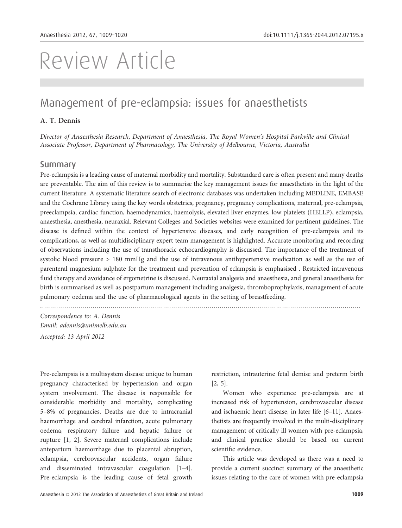# Review Article

## Management of pre-eclampsia: issues for anaesthetists

## A. T. Dennis

Director of Anaesthesia Research, Department of Anaesthesia, The Royal Women's Hospital Parkville and Clinical Associate Professor, Department of Pharmacology, The University of Melbourne, Victoria, Australia

#### Summary

Pre-eclampsia is a leading cause of maternal morbidity and mortality. Substandard care is often present and many deaths are preventable. The aim of this review is to summarise the key management issues for anaesthetists in the light of the current literature. A systematic literature search of electronic databases was undertaken including MEDLINE, EMBASE and the Cochrane Library using the key words obstetrics, pregnancy, pregnancy complications, maternal, pre-eclampsia, preeclampsia, cardiac function, haemodynamics, haemolysis, elevated liver enzymes, low platelets (HELLP), eclampsia, anaesthesia, anesthesia, neuraxial. Relevant Colleges and Societies websites were examined for pertinent guidelines. The disease is defined within the context of hypertensive diseases, and early recognition of pre-eclampsia and its complications, as well as multidisciplinary expert team management is highlighted. Accurate monitoring and recording of observations including the use of transthoracic echocardiography is discussed. The importance of the treatment of systolic blood pressure > 180 mmHg and the use of intravenous antihypertensive medication as well as the use of parenteral magnesium sulphate for the treatment and prevention of eclampsia is emphasised . Restricted intravenous fluid therapy and avoidance of ergometrine is discussed. Neuraxial analgesia and anaesthesia, and general anaesthesia for birth is summarised as well as postpartum management including analgesia, thromboprophylaxis, management of acute pulmonary oedema and the use of pharmacological agents in the setting of breastfeeding.

Correspondence to: A. Dennis Email: adennis@unimelb.edu.au Accepted: 13 April 2012

...............................................................................................................................................................

Pre-eclampsia is a multisystem disease unique to human pregnancy characterised by hypertension and organ system involvement. The disease is responsible for considerable morbidity and mortality, complicating 5–8% of pregnancies. Deaths are due to intracranial haemorrhage and cerebral infarction, acute pulmonary oedema, respiratory failure and hepatic failure or rupture [1, 2]. Severe maternal complications include antepartum haemorrhage due to placental abruption, eclampsia, cerebrovascular accidents, organ failure and disseminated intravascular coagulation [1–4]. Pre-eclampsia is the leading cause of fetal growth

restriction, intrauterine fetal demise and preterm birth [2, 5].

Women who experience pre-eclampsia are at increased risk of hypertension, cerebrovascular disease and ischaemic heart disease, in later life [6–11]. Anaesthetists are frequently involved in the multi-disciplinary management of critically ill women with pre-eclampsia, and clinical practice should be based on current scientific evidence.

This article was developed as there was a need to provide a current succinct summary of the anaesthetic issues relating to the care of women with pre-eclampsia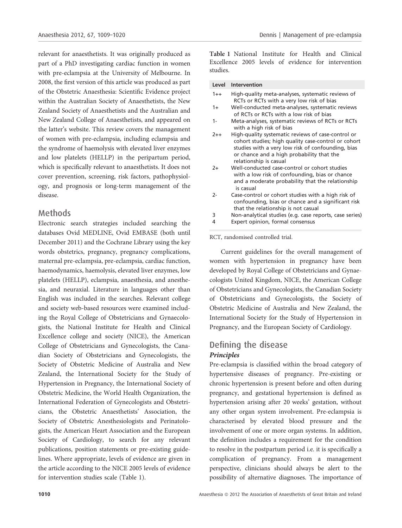relevant for anaesthetists. It was originally produced as part of a PhD investigating cardiac function in women with pre-eclampsia at the University of Melbourne. In 2008, the first version of this article was produced as part of the Obstetric Anaesthesia: Scientific Evidence project within the Australian Society of Anaesthetists, the New Zealand Society of Anaesthetists and the Australian and New Zealand College of Anaesthetists, and appeared on the latter's website. This review covers the management of women with pre-eclampsia, including eclampsia and the syndrome of haemolysis with elevated liver enzymes and low platelets (HELLP) in the peripartum period, which is specifically relevant to anaesthetists. It does not cover prevention, screening, risk factors, pathophysiology, and prognosis or long-term management of the disease.

## Methods

Electronic search strategies included searching the databases Ovid MEDLINE, Ovid EMBASE (both until December 2011) and the Cochrane Library using the key words obstetrics, pregnancy, pregnancy complications, maternal pre-eclampsia, pre-eclampsia, cardiac function, haemodynamics, haemolysis, elevated liver enzymes, low platelets (HELLP), eclampsia, anaesthesia, and anesthesia, and neuraxial. Literature in languages other than English was included in the searches. Relevant college and society web-based resources were examined including the Royal College of Obstetricians and Gynaecologists, the National Institute for Health and Clinical Excellence college and society (NICE), the American College of Obstetricians and Gynecologists, the Canadian Society of Obstetricians and Gynecologists, the Society of Obstetric Medicine of Australia and New Zealand, the International Society for the Study of Hypertension in Pregnancy, the International Society of Obstetric Medicine, the World Health Organization, the International Federation of Gynecologists and Obstetricians, the Obstetric Anaesthetists' Association, the Society of Obstetric Anesthesiologists and Perinatologists, the American Heart Association and the European Society of Cardiology, to search for any relevant publications, position statements or pre-existing guidelines. Where appropriate, levels of evidence are given in the article according to the NICE 2005 levels of evidence for intervention studies scale (Table 1).

Table 1 National Institute for Health and Clinical Excellence 2005 levels of evidence for intervention studies.

| Level   | Intervention                                                                                                                                                                                                                          |
|---------|---------------------------------------------------------------------------------------------------------------------------------------------------------------------------------------------------------------------------------------|
| $1 + +$ | High-quality meta-analyses, systematic reviews of<br>RCTs or RCTs with a very low risk of bias                                                                                                                                        |
| $1+$    | Well-conducted meta-analyses, systematic reviews<br>of RCTs or RCTs with a low risk of bias                                                                                                                                           |
| $1 -$   | Meta-analyses, systematic reviews of RCTs or RCTs<br>with a high risk of bias                                                                                                                                                         |
| $2++$   | High-quality systematic reviews of case-control or<br>cohort studies; high quality case-control or cohort<br>studies with a very low risk of confounding, bias<br>or chance and a high probability that the<br>relationship is casual |
| $2+$    | Well-conducted case-control or cohort studies<br>with a low risk of confounding, bias or chance<br>and a moderate probability that the relationship<br>is casual                                                                      |
| 2-      | Case-control or cohort studies with a high risk of<br>confounding, bias or chance and a significant risk<br>that the relationship is not casual                                                                                       |

- 3 Non-analytical studies (e.g. case reports, case series)
- Expert opinion, formal consensus

#### RCT, randomised controlled trial.

Current guidelines for the overall management of women with hypertension in pregnancy have been developed by Royal College of Obstetricians and Gynaecologists United Kingdom, NICE, the American College of Obstetricians and Gynecologists, the Canadian Society of Obstetricians and Gynecologists, the Society of Obstetric Medicine of Australia and New Zealand, the International Society for the Study of Hypertension in Pregnancy, and the European Society of Cardiology.

## Defining the disease Principles

Pre-eclampsia is classified within the broad category of hypertensive diseases of pregnancy. Pre-existing or chronic hypertension is present before and often during pregnancy, and gestational hypertension is defined as hypertension arising after 20 weeks' gestation, without any other organ system involvement. Pre-eclampsia is characterised by elevated blood pressure and the involvement of one or more organ systems. In addition, the definition includes a requirement for the condition to resolve in the postpartum period i.e. it is specifically a complication of pregnancy. From a management perspective, clinicians should always be alert to the possibility of alternative diagnoses. The importance of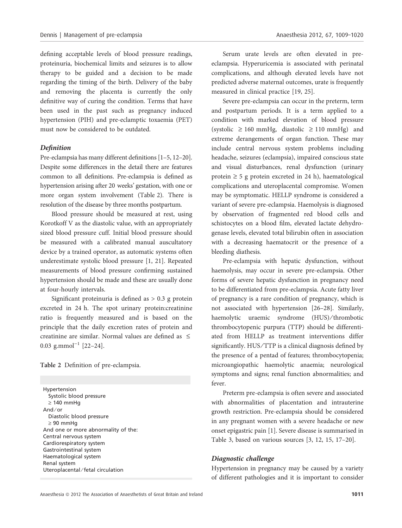defining acceptable levels of blood pressure readings, proteinuria, biochemical limits and seizures is to allow therapy to be guided and a decision to be made regarding the timing of the birth. Delivery of the baby and removing the placenta is currently the only definitive way of curing the condition. Terms that have been used in the past such as pregnancy induced hypertension (PIH) and pre-eclamptic toxaemia (PET) must now be considered to be outdated.

#### Definition

Pre-eclampsia has many different definitions [1–5, 12–20]. Despite some differences in the detail there are features common to all definitions. Pre-eclampsia is defined as hypertension arising after 20 weeks' gestation, with one or more organ system involvement (Table 2). There is resolution of the disease by three months postpartum.

Blood pressure should be measured at rest, using Korotkoff V as the diastolic value, with an appropriately sized blood pressure cuff. Initial blood pressure should be measured with a calibrated manual auscultatory device by a trained operator, as automatic systems often underestimate systolic blood pressure [1, 21]. Repeated measurements of blood pressure confirming sustained hypertension should be made and these are usually done at four-hourly intervals.

Significant proteinuria is defined as  $> 0.3$  g protein excreted in 24 h. The spot urinary protein:creatinine ratio is frequently measured and is based on the principle that the daily excretion rates of protein and creatinine are similar. Normal values are defined as  $\leq$ 0.03 g.mmol<sup>-1</sup>  $[22-24]$ .

Table 2 Definition of pre-eclampsia.

Hypertension Systolic blood pressure  $\geq 140$  mmHg And ⁄ or Diastolic blood pressure  $\geq 90$  mmHg And one or more abnormality of the: Central nervous system Cardiorespiratory system Gastrointestinal system Haematological system Renal system Uteroplacental ⁄ fetal circulation

Serum urate levels are often elevated in preeclampsia. Hyperuricemia is associated with perinatal complications, and although elevated levels have not predicted adverse maternal outcomes, urate is frequently measured in clinical practice [19, 25].

Severe pre-eclampsia can occur in the preterm, term and postpartum periods. It is a term applied to a condition with marked elevation of blood pressure (systolic  $\geq 160$  mmHg, diastolic  $\geq 110$  mmHg) and extreme derangements of organ function. These may include central nervous system problems including headache, seizures (eclampsia), impaired conscious state and visual disturbances, renal dysfunction (urinary protein  $\geq$  5 g protein excreted in 24 h), haematological complications and uteroplacental compromise. Women may be symptomatic. HELLP syndrome is considered a variant of severe pre-eclampsia. Haemolysis is diagnosed by observation of fragmented red blood cells and schistocytes on a blood film, elevated lactate dehydrogenase levels, elevated total bilirubin often in association with a decreasing haematocrit or the presence of a bleeding diathesis.

Pre-eclampsia with hepatic dysfunction, without haemolysis, may occur in severe pre-eclampsia. Other forms of severe hepatic dysfunction in pregnancy need to be differentiated from pre-eclampsia. Acute fatty liver of pregnancy is a rare condition of pregnancy, which is not associated with hypertension [26–28]. Similarly, haemolytic uraemic syndrome (HUS)/thrombotic thrombocytopenic purpura (TTP) should be differentiated from HELLP as treatment interventions differ significantly. HUS/TTP is a clinical diagnosis defined by the presence of a pentad of features; thrombocytopenia; microangiopathic haemolytic anaemia; neurological symptoms and signs; renal function abnormalities; and fever.

Preterm pre-eclampsia is often severe and associated with abnormalities of placentation and intrauterine growth restriction. Pre-eclampsia should be considered in any pregnant women with a severe headache or new onset epigastric pain [1]. Severe disease is summarised in Table 3, based on various sources [3, 12, 15, 17–20].

#### Diagnostic challenge

Hypertension in pregnancy may be caused by a variety of different pathologies and it is important to consider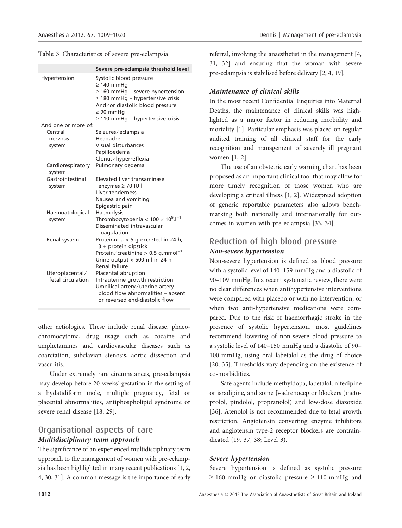Table 3 Characteristics of severe pre-eclampsia.

|                             | Severe pre-eclampsia threshold level                                                                                                                                                                                       |  |  |
|-----------------------------|----------------------------------------------------------------------------------------------------------------------------------------------------------------------------------------------------------------------------|--|--|
| Hypertension                | Systolic blood pressure<br>$\geq 140$ mmHq<br>$\geq$ 160 mmHg – severe hypertension<br>$\geq$ 180 mmHg – hypertensive crisis<br>And/or diastolic blood pressure<br>$\geq 90$ mmHq<br>$\geq$ 110 mmHg – hypertensive crisis |  |  |
| And one or more of:         |                                                                                                                                                                                                                            |  |  |
| Central                     | Seizures/eclampsia                                                                                                                                                                                                         |  |  |
| nervous                     | Headache                                                                                                                                                                                                                   |  |  |
| system                      | Visual disturbances                                                                                                                                                                                                        |  |  |
|                             | Papilloedema                                                                                                                                                                                                               |  |  |
|                             | Clonus/hyperreflexia                                                                                                                                                                                                       |  |  |
| Cardiorespiratory<br>system | Pulmonary oedema                                                                                                                                                                                                           |  |  |
| Gastrointestinal            | Elevated liver transaminase                                                                                                                                                                                                |  |  |
| system                      | enzymes $\geq 70$ IU.I <sup>-1</sup>                                                                                                                                                                                       |  |  |
|                             | Liver tenderness                                                                                                                                                                                                           |  |  |
|                             | Nausea and vomiting                                                                                                                                                                                                        |  |  |
|                             | Epigastric pain                                                                                                                                                                                                            |  |  |
| Haemoatological             | Haemolysis                                                                                                                                                                                                                 |  |  |
| system                      | Thrombocytopenia < $100 \times 10^9$ . $I^{-1}$<br>Disseminated intravascular                                                                                                                                              |  |  |
|                             | coagulation                                                                                                                                                                                                                |  |  |
| Renal system                | Proteinuria > 5 g excreted in 24 h,                                                                                                                                                                                        |  |  |
|                             | 3 + protein dipstick                                                                                                                                                                                                       |  |  |
|                             | Protein/creatinine > $0.5$ g.mmol <sup>-1</sup>                                                                                                                                                                            |  |  |
|                             | Urine output < 500 ml in 24 h                                                                                                                                                                                              |  |  |
|                             | Renal failure                                                                                                                                                                                                              |  |  |
| Uteroplacental/             | Placental abruption                                                                                                                                                                                                        |  |  |
| fetal circulation           | Intrauterine growth restriction                                                                                                                                                                                            |  |  |
|                             | Umbilical artery/uterine artery<br>blood flow abnormalities - absent                                                                                                                                                       |  |  |
|                             | or reversed end-diastolic flow                                                                                                                                                                                             |  |  |
|                             |                                                                                                                                                                                                                            |  |  |

other aetiologies. These include renal disease, phaeochromocytoma, drug usage such as cocaine and amphetamines and cardiovascular diseases such as coarctation, subclavian stenosis, aortic dissection and vasculitis.

Under extremely rare circumstances, pre-eclampsia may develop before 20 weeks' gestation in the setting of a hydatidiform mole, multiple pregnancy, fetal or placental abnormalities, antiphospholipid syndrome or severe renal disease [18, 29].

## Organisational aspects of care Multidisciplinary team approach

The significance of an experienced multidisciplinary team approach to the management of women with pre-eclampsia has been highlighted in many recent publications [1, 2, 4, 30, 31]. A common message is the importance of early referral, involving the anaesthetist in the management [4, 31, 32] and ensuring that the woman with severe pre-eclampsia is stabilised before delivery [2, 4, 19].

## Maintenance of clinical skills

In the most recent Confidential Enquiries into Maternal Deaths, the maintenance of clinical skills was highlighted as a major factor in reducing morbidity and mortality [1]. Particular emphasis was placed on regular audited training of all clinical staff for the early recognition and management of severely ill pregnant women [1, 2].

The use of an obstetric early warning chart has been proposed as an important clinical tool that may allow for more timely recognition of those women who are developing a critical illness [1, 2]. Widespread adoption of generic reportable parameters also allows benchmarking both nationally and internationally for outcomes in women with pre-eclampsia [33, 34].

## Reduction of high blood pressure Non-severe hypertension

Non-severe hypertension is defined as blood pressure with a systolic level of 140–159 mmHg and a diastolic of 90–109 mmHg. In a recent systematic review, there were no clear differences when antihypertensive interventions were compared with placebo or with no intervention, or when two anti-hypertensive medications were compared. Due to the risk of haemorrhagic stroke in the presence of systolic hypertension, most guidelines recommend lowering of non-severe blood pressure to a systolic level of 140–150 mmHg and a diastolic of 90– 100 mmHg, using oral labetalol as the drug of choice [20, 35]. Thresholds vary depending on the existence of co-morbidities.

Safe agents include methyldopa, labetalol, nifedipine or isradipine, and some  $\beta$ -adrenoceptor blockers (metoprolol, pindolol, propranolol) and low-dose diazoxide [36]. Atenolol is not recommended due to fetal growth restriction. Angiotensin converting enzyme inhibitors and angiotensin type-2 receptor blockers are contraindicated (19, 37, 38; Level 3).

#### Severe hypertension

Severe hypertension is defined as systolic pressure  $\geq 160$  mmHg or diastolic pressure  $\geq 110$  mmHg and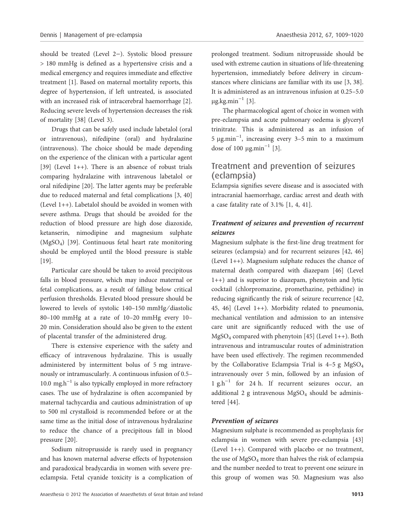should be treated (Level  $2-$ ). Systolic blood pressure > 180 mmHg is defined as a hypertensive crisis and a medical emergency and requires immediate and effective treatment [1]. Based on maternal mortality reports, this degree of hypertension, if left untreated, is associated with an increased risk of intracerebral haemorrhage [2]. Reducing severe levels of hypertension decreases the risk of mortality [38] (Level 3).

Drugs that can be safely used include labetalol (oral or intravenous), nifedipine (oral) and hydralazine (intravenous). The choice should be made depending on the experience of the clinican with a particular agent [39] (Level 1++). There is an absence of robust trials comparing hydralazine with intravenous labetalol or oral nifedipine [20]. The latter agents may be preferable due to reduced maternal and fetal complications [3, 40] (Level 1++). Labetalol should be avoided in women with severe asthma. Drugs that should be avoided for the reduction of blood pressure are high dose diazoxide, ketanserin, nimodipine and magnesium sulphate (MgSO4) [39]. Continuous fetal heart rate monitoring should be employed until the blood pressure is stable [19].

Particular care should be taken to avoid precipitous falls in blood pressure, which may induce maternal or fetal complications, as a result of falling below critical perfusion thresholds. Elevated blood pressure should be lowered to levels of systolic 140-150 mmHg/diastolic 80–100 mmHg at a rate of 10–20 mmHg every 10– 20 min. Consideration should also be given to the extent of placental transfer of the administered drug.

There is extensive experience with the safety and efficacy of intravenous hydralazine. This is usually administered by intermittent bolus of 5 mg intravenously or intramuscularly. A continuous infusion of 0.5– 10.0 mg, $h^{-1}$  is also typically employed in more refractory cases. The use of hydralazine is often accompanied by maternal tachycardia and cautious administration of up to 500 ml crystalloid is recommended before or at the same time as the initial dose of intravenous hydralazine to reduce the chance of a precipitous fall in blood pressure [20].

Sodium nitroprusside is rarely used in pregnancy and has known maternal adverse effects of hypotension and paradoxical bradycardia in women with severe preeclampsia. Fetal cyanide toxicity is a complication of

prolonged treatment. Sodium nitroprusside should be used with extreme caution in situations of life-threatening hypertension, immediately before delivery in circumstances where clinicians are familiar with its use [3, 38]. It is administered as an intravenous infusion at 0.25–5.0  $\mu$ g.kg.min<sup>-1</sup> [3].

The pharmacological agent of choice in women with pre-eclampsia and acute pulmonary oedema is glyceryl trinitrate. This is administered as an infusion of 5  $\mu$ g.min<sup>-1</sup>, increasing every 3-5 min to a maximum dose of 100  $\mu$ g.min<sup>-1</sup> [3].

## Treatment and prevention of seizures (eclampsia)

Eclampsia signifies severe disease and is associated with intracranial haemorrhage, cardiac arrest and death with a case fatality rate of 3.1% [1, 4, 41].

## Treatment of seizures and prevention of recurrent seizures

Magnesium sulphate is the first-line drug treatment for seizures (eclampsia) and for recurrent seizures [42, 46] (Level 1++). Magnesium sulphate reduces the chance of maternal death compared with diazepam [46] (Level 1++) and is superior to diazepam, phenytoin and lytic cocktail (chlorpromazine, promethazine, pethidine) in reducing significantly the risk of seizure recurrence [42, 45, 46] (Level 1++). Morbidity related to pneumonia, mechanical ventilation and admission to an intensive care unit are significantly reduced with the use of MgSO4 compared with phenytoin [45] (Level 1++). Both intravenous and intramuscular routes of administration have been used effectively. The regimen recommended by the Collaborative Eclampsia Trial is  $4-5$  g MgSO<sub>4</sub> intravenously over 5 min, followed by an infusion of 1 g, $h^{-1}$  for 24 h. If recurrent seizures occur, an additional 2 g intravenous  $MgSO<sub>4</sub>$  should be administered [44].

#### Prevention of seizures

Magnesium sulphate is recommended as prophylaxis for eclampsia in women with severe pre-eclampsia [43] (Level 1++). Compared with placebo or no treatment, the use of  $MgSO<sub>4</sub>$  more than halves the risk of eclampsia and the number needed to treat to prevent one seizure in this group of women was 50. Magnesium was also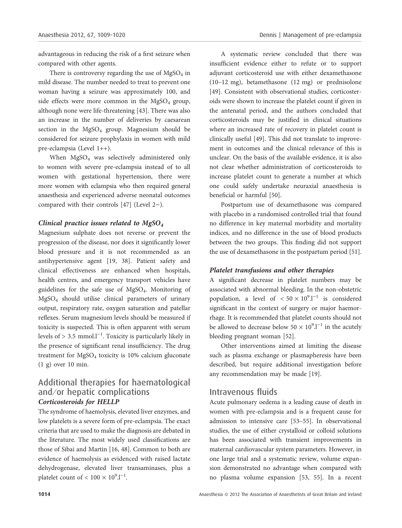advantageous in reducing the risk of a first seizure when compared with other agents.

There is controversy regarding the use of  $MgSO<sub>4</sub>$  in mild disease. The number needed to treat to prevent one woman having a seizure was approximately 100, and side effects were more common in the  $MgSO<sub>4</sub>$  group, although none were life-threatening [43]. There was also an increase in the number of deliveries by caesarean section in the  $MgSO_4$  group. Magnesium should be considered for seizure prophylaxis in women with mild pre-eclampsia (Level 1++).

When MgSO<sub>4</sub> was selectively administered only to women with severe pre-eclampsia instead of to all women with gestational hypertension, there were more women with eclampsia who then required general anaesthesia and experienced adverse neonatal outcomes compared with their controls  $[47]$  (Level 2-).

#### Clinical practice issues related to  $MgSO<sub>4</sub>$

Magnesium sulphate does not reverse or prevent the progression of the disease, nor does it significantly lower blood pressure and it is not recommended as an antihypertensive agent [19, 38]. Patient safety and clinical effectiveness are enhanced when hospitals, health centres, and emergency transport vehicles have guidelines for the safe use of MgSO4. Monitoring of MgSO4 should utilise clinical parameters of urinary output, respiratory rate, oxygen saturation and patellar reflexes. Serum magnesium levels should be measured if toxicity is suspected. This is often apparent with serum levels of  $> 3.5$  mmol.l<sup>-1</sup>. Toxicity is particularly likely in the presence of significant renal insufficiency. The drug treatment for MgSO<sub>4</sub> toxicity is 10% calcium gluconate (1 g) over 10 min.

## Additional therapies for haematological and/or hepatic complications Corticosteroids for HELLP

The syndrome of haemolysis, elevated liver enzymes, and low platelets is a severe form of pre-eclampsia. The exact criteria that are used to make the diagnosis are debated in the literature. The most widely used classifications are those of Sibai and Martin [16, 48]. Common to both are evidence of haemolysis as evidenced with raised lactate dehydrogenase, elevated liver transaminases, plus a platelet count of  $< 100 \times 10^{9}$ .l<sup>-1</sup>.

A systematic review concluded that there was insufficient evidence either to refute or to support adjuvant corticosteroid use with either dexamethasone (10–12 mg), betamethasone (12 mg) or prednisolone [49]. Consistent with observational studies, corticosteroids were shown to increase the platelet count if given in the antenatal period, and the authors concluded that corticosteroids may be justified in clinical situations where an increased rate of recovery in platelet count is clinically useful [49]. This did not translate to improvement in outcomes and the clinical relevance of this is unclear. On the basis of the available evidence, it is also not clear whether administration of corticosteroids to increase platelet count to generate a number at which one could safely undertake neuraxial anaesthesia is beneficial or harmful [50].

Postpartum use of dexamethasone was compared with placebo in a randomised controlled trial that found no difference in key maternal morbidity and mortality indices, and no difference in the use of blood products between the two groups. This finding did not support the use of dexamethasone in the postpartum period [51].

#### Platelet transfusions and other therapies

A significant decrease in platelet numbers may be associated with abnormal bleeding. In the non-obstetric population, a level of  $< 50 \times 10^{9}$ .<sup>1-1</sup> is considered significant in the context of surgery or major haemorrhage. It is recommended that platelet counts should not be allowed to decrease below  $50 \times 10^{9}$ .<sup>1-1</sup> in the acutely bleeding pregnant woman [52].

Other interventions aimed at limiting the disease such as plasma exchange or plasmapheresis have been described, but require additional investigation before any recommendation may be made [19].

## Intravenous fluids

Acute pulmonary oedema is a leading cause of death in women with pre-eclampsia and is a frequent cause for admission to intensive care [53–55]. In observational studies, the use of either crystalloid or colloid solutions has been associated with transient improvements in maternal cardiovascular system parameters. However, in one large trial and a systematic review, volume expansion demonstrated no advantage when compared with no plasma volume expansion [53, 55]. In a recent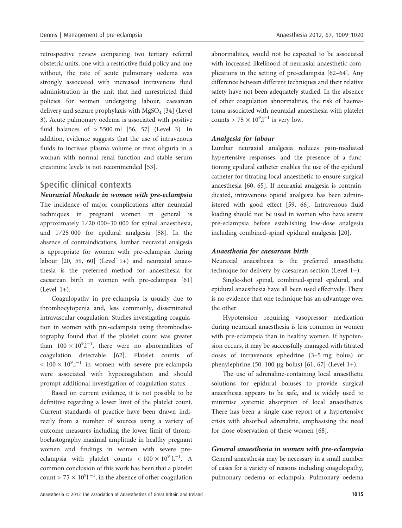retrospective review comparing two tertiary referral obstetric units, one with a restrictive fluid policy and one without, the rate of acute pulmonary oedema was strongly associated with increased intravenous fluid administration in the unit that had unrestricted fluid policies for women undergoing labour, caesarean delivery and seizure prophylaxis with  $MgSO<sub>4</sub>$  [34] (Level 3). Acute pulmonary oedema is associated with positive fluid balances of  $> 5500$  ml  $[56, 57]$  (Level 3). In addition, evidence suggests that the use of intravenous fluids to increase plasma volume or treat oliguria in a woman with normal renal function and stable serum creatinine levels is not recommended [53].

#### Specific clinical contexts

Neuraxial blockade in women with pre-eclampsia The incidence of major complications after neuraxial techniques in pregnant women in general is approximately 1 ⁄ 20 000–30 000 for spinal anaesthesia, and  $1/25000$  for epidural analgesia [58]. In the absence of contraindications, lumbar neuraxial analgesia is appropriate for women with pre-eclampsia during labour [20, 59, 60] (Level 1+) and neuraxial anaesthesia is the preferred method for anaesthesia for caesarean birth in women with pre-eclampsia [61]  $(Level 1+)$ .

Coagulopathy in pre-eclampsia is usually due to thrombocytopenia and, less commonly, disseminated intravascular coagulation. Studies investigating coagulation in women with pre-eclampsia using thromboelastography found that if the platelet count was greater than  $100 \times 10^{9}$ .<sup>1-1</sup>, there were no abnormalities of coagulation detectable [62]. Platelet counts of  $< 100 \times 10^{9}$ .<sup>1-1</sup> in women with severe pre-eclampsia were associated with hypocoagulation and should prompt additional investigation of coagulation status.

Based on current evidence, it is not possible to be definitive regarding a lower limit of the platelet count. Current standards of practice have been drawn indirectly from a number of sources using a variety of outcome measures including the lower limit of thromboelastography maximal amplitude in healthy pregnant women and findings in women with severe preeclampsia with platelet counts  $< 100 \times 10^{9}$  l.<sup>-1</sup>. A common conclusion of this work has been that a platelet count >  $75 \times 10^{9}$ l.<sup>-1</sup>, in the absence of other coagulation

abnormalities, would not be expected to be associated with increased likelihood of neuraxial anaesthetic complications in the setting of pre-eclampsia [62–64]. Any difference between different techniques and their relative safety have not been adequately studied. In the absence of other coagulation abnormalities, the risk of haematoma associated with neuraxial anaesthesia with platelet counts >  $75 \times 10^9$ .<sup>1-1</sup> is very low.

#### Analgesia for labour

Lumbar neuraxial analgesia reduces pain-mediated hypertensive responses, and the presence of a functioning epidural catheter enables the use of the epidural catheter for titrating local anaesthetic to ensure surgical anaesthesia [60, 65]. If neuraxial analgesia is contraindicated, intravenous opioid analgesia has been administered with good effect [59, 66]. Intravenous fluid loading should not be used in women who have severe pre-eclampsia before establishing low-dose analgesia including combined-spinal epidural analgesia [20].

#### Anaesthesia for caesarean birth

Neuraxial anaesthesia is the preferred anaesthetic technique for delivery by caesarean section (Level 1+).

Single-shot spinal, combined-spinal epidural, and epidural anaesthesia have all been used effectively. There is no evidence that one technique has an advantage over the other.

Hypotension requiring vasopressor medication during neuraxial anaesthesia is less common in women with pre-eclampsia than in healthy women. If hypotension occurs, it may be successfully managed with titrated doses of intravenous ephedrine (3–5 mg bolus) or phenylephrine  $(50-100 \mu g$  bolus)  $[61, 67]$  (Level 1+).

The use of adrenaline-containing local anaesthetic solutions for epidural boluses to provide surgical anaesthesia appears to be safe, and is widely used to minimise systemic absorption of local anaesthetics. There has been a single case report of a hypertensive crisis with absorbed adrenaline, emphasising the need for close observation of these women [68].

General anaesthesia in women with pre-eclampsia General anaesthesia may be necessary in a small number of cases for a variety of reasons including coagulopathy, pulmonary oedema or eclampsia. Pulmonary oedema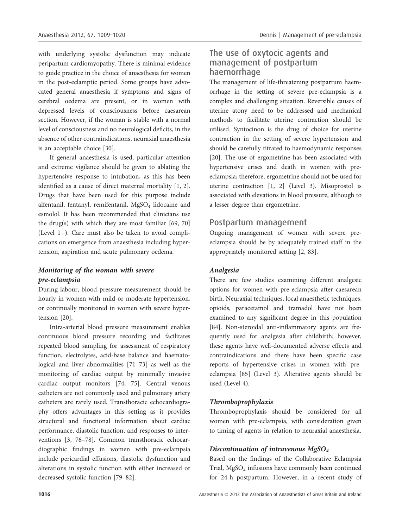with underlying systolic dysfunction may indicate peripartum cardiomyopathy. There is minimal evidence to guide practice in the choice of anaesthesia for women in the post-eclamptic period. Some groups have advocated general anaesthesia if symptoms and signs of cerebral oedema are present, or in women with depressed levels of consciousness before caesarean section. However, if the woman is stable with a normal level of consciousness and no neurological deficits, in the absence of other contraindications, neuraxial anaesthesia is an acceptable choice [30].

If general anaesthesia is used, particular attention and extreme vigilance should be given to ablating the hypertensive response to intubation, as this has been identified as a cause of direct maternal mortality [1, 2]. Drugs that have been used for this purpose include alfentanil, fentanyl, remifentanil, MgSO<sub>4</sub> lidocaine and esmolol. It has been recommended that clinicians use the drug(s) with which they are most familiar [69, 70] (Level  $1-$ ). Care must also be taken to avoid complications on emergence from anaesthesia including hypertension, aspiration and acute pulmonary oedema.

### Monitoring of the woman with severe pre-eclampsia

During labour, blood pressure measurement should be hourly in women with mild or moderate hypertension, or continually monitored in women with severe hypertension [20].

Intra-arterial blood pressure measurement enables continuous blood pressure recording and facilitates repeated blood sampling for assessment of respiratory function, electrolytes, acid-base balance and haematological and liver abnormalities [71–73] as well as the monitoring of cardiac output by minimally invasive cardiac output monitors [74, 75]. Central venous catheters are not commonly used and pulmonary artery catheters are rarely used. Transthoracic echocardiography offers advantages in this setting as it provides structural and functional information about cardiac performance, diastolic function, and responses to interventions [3, 76–78]. Common transthoracic echocardiographic findings in women with pre-eclampsia include pericardial effusions, diastolic dysfunction and alterations in systolic function with either increased or decreased systolic function [79–82].

## The use of oxytocic agents and management of postpartum haemorrhage

The management of life-threatening postpartum haemorrhage in the setting of severe pre-eclampsia is a complex and challenging situation. Reversible causes of uterine atony need to be addressed and mechanical methods to facilitate uterine contraction should be utilised. Syntocinon is the drug of choice for uterine contraction in the setting of severe hypertension and should be carefully titrated to haemodynamic responses [20]. The use of ergometrine has been associated with hypertensive crises and death in women with preeclampsia; therefore, ergometrine should not be used for uterine contraction [1, 2] (Level 3). Misoprostol is associated with elevations in blood pressure, although to a lesser degree than ergometrine.

## Postpartum management

Ongoing management of women with severe preeclampsia should be by adequately trained staff in the appropriately monitored setting [2, 83].

#### Analgesia

There are few studies examining different analgesic options for women with pre-eclampsia after caesarean birth. Neuraxial techniques, local anaesthetic techniques, opioids, paracetamol and tramadol have not been examined to any significant degree in this population [84]. Non-steroidal anti-inflammatory agents are frequently used for analgesia after childbirth; however, these agents have well-documented adverse effects and contraindications and there have been specific case reports of hypertensive crises in women with preeclampsia [85] (Level 3). Alterative agents should be used (Level 4).

#### Thromboprophylaxis

Thromboprophylaxis should be considered for all women with pre-eclampsia, with consideration given to timing of agents in relation to neuraxial anaesthesia.

#### Discontinuation of intravenous  $MgSO<sub>4</sub>$

Based on the findings of the Collaborative Eclampsia Trial, MgSO<sub>4</sub> infusions have commonly been continued for 24 h postpartum. However, in a recent study of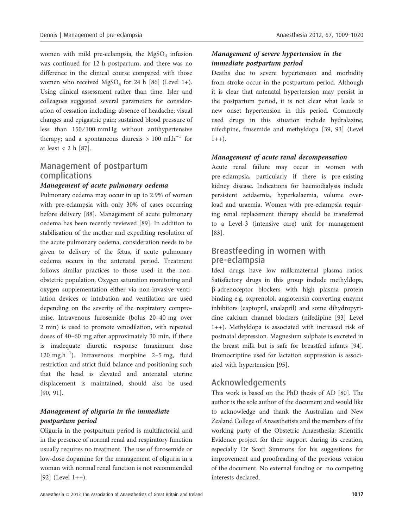women with mild pre-eclampsia, the  $MgSO<sub>4</sub>$  infusion was continued for 12 h postpartum, and there was no difference in the clinical course compared with those women who received  $MgSO<sub>4</sub>$  for 24 h [86] (Level 1+). Using clinical assessment rather than time, Isler and colleagues suggested several parameters for consideration of cessation including: absence of headache; visual changes and epigastric pain; sustained blood pressure of less than  $150/100$  mmHg without antihypertensive therapy; and a spontaneous diuresis  $> 100$  ml.h<sup>-1</sup> for at least < 2 h [87].

## Management of postpartum complications

#### Management of acute pulmonary oedema

Pulmonary oedema may occur in up to 2.9% of women with pre-eclampsia with only 30% of cases occurring before delivery [88]. Management of acute pulmonary oedema has been recently reviewed [89]. In addition to stabilisation of the mother and expediting resolution of the acute pulmonary oedema, consideration needs to be given to delivery of the fetus, if acute pulmonary oedema occurs in the antenatal period. Treatment follows similar practices to those used in the nonobstetric population. Oxygen saturation monitoring and oxygen supplementation either via non-invasive ventilation devices or intubation and ventilation are used depending on the severity of the respiratory compromise. Intravenous furosemide (bolus 20–40 mg over 2 min) is used to promote venodilation, with repeated doses of 40–60 mg after approximately 30 min, if there is inadequate diuretic response (maximum dose 120 mg.h<sup>-1</sup>). Intravenous morphine 2-5 mg, fluid restriction and strict fluid balance and positioning such that the head is elevated and antenatal uterine displacement is maintained, should also be used [90, 91].

#### Management of oliguria in the immediate postpartum period

Oliguria in the postpartum period is multifactorial and in the presence of normal renal and respiratory function usually requires no treatment. The use of furosemide or low-dose dopamine for the management of oliguria in a woman with normal renal function is not recommended  $[92]$  (Level 1++).

## Management of severe hypertension in the immediate postpartum period

Deaths due to severe hypertension and morbidity from stroke occur in the postpartum period. Although it is clear that antenatal hypertension may persist in the postpartum period, it is not clear what leads to new onset hypertension in this period. Commonly used drugs in this situation include hydralazine, nifedipine, frusemide and methyldopa [39, 93] (Level  $1++$ ).

#### Management of acute renal decompensation

Acute renal failure may occur in women with pre-eclampsia, particularly if there is pre-existing kidney disease. Indications for haemodialysis include persistent acidaemia, hyperkalaemia, volume overload and uraemia. Women with pre-eclampsia requiring renal replacement therapy should be transferred to a Level-3 (intensive care) unit for management [83].

## Breastfeeding in women with pre-eclampsia

Ideal drugs have low milk:maternal plasma ratios. Satisfactory drugs in this group include methyldopa, b-adrenoceptor blockers with high plasma protein binding e.g. oxprenolol, angiotensin converting enzyme inhibitors (captopril, enalapril) and some dihydropyridine calcium channel blockers (nifedipine [93] Level 1++). Methyldopa is associated with increased risk of postnatal depression. Magnesium sulphate is excreted in the breast milk but is safe for breastfed infants [94]. Bromocriptine used for lactation suppression is associated with hypertension [95].

## Acknowledgements

This work is based on the PhD thesis of AD [80]. The author is the sole author of the document and would like to acknowledge and thank the Australian and New Zealand College of Anaesthetists and the members of the working party of the Obstetric Anaesthesia: Scientific Evidence project for their support during its creation, especially Dr Scott Simmons for his suggestions for improvement and proofreading of the previous version of the document. No external funding or no competing interests declared.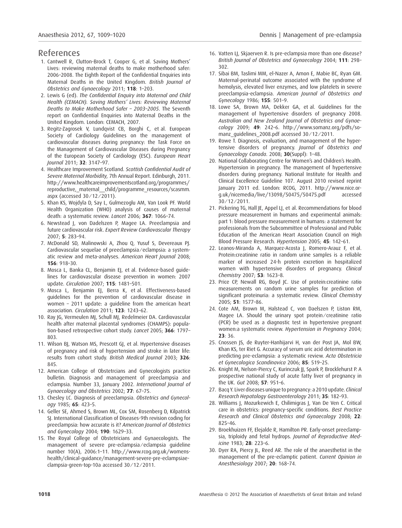#### References

- 1. Cantwell R, Clutton-Brock T, Cooper G, et al. Saving Mothers' Lives: reviewing maternal deaths to make motherhood safer: 2006–2008. The Eighth Report of the Confidential Enquiries into Maternal Deaths in the United Kingdom. British Journal of Obstetrics and Gynaecology 2011; 118: 1–203.
- 2. Lewis G (ed). The Confidential Enquiry into Maternal and Child Health (CEMACH). Saving Mothers' Lives: Reviewing Maternal Deaths to Make Motherhood Safer – 2003–2005. The Seventh report on Confidential Enquiries into Maternal Deaths in the United Kingdom. London: CEMACH, 2007.
- 3. Regitz-Zagrosek V, Lundqvist CB, Borghi C, et al. European Society of Cardiology Guidelines on the management of cardiovascular diseases during pregnancy: the Task Force on the Management of Cardiovascular Diseases during Pregnancy of the European Society of Cardiology (ESC). European Heart Journal 2011; 32: 3147–97.
- 4. Healthcare Improvement Scotland. Scottish Confidential Audit of Severe Maternal Morbidity, 7th Annual Report. Edinburgh, 2011. http://www.healthcareimprovementscotland.org/programmes/ reproductive, maternal\_child/programme\_resources/scasmm. aspx (accessed 30 ⁄ 12 ⁄ 2011).
- 5. Khan KS, Wojdyla D, Say L, Gulmezoglu AM, Van Look PF. World Health Organization (WHO) analysis of causes of maternal death: a systematic review. Lancet 2006; 367: 1066–74.
- 6. Newstead J, von Dadelszen P, Magee LA. Preeclampsia and future cardiovascular risk. Expert Review Cardiovascular Therapy 2007; 5: 283–94.
- 7. McDonald SD, Malinowski A, Zhou Q, Yusuf S, Devereaux PJ. Cardiovascular sequelae of preeclampsia ⁄ eclampsia: a systematic review and meta-analyses. American Heart Journal 2008; 156: 918–30.
- 8. Mosca L, Banka CL, Benjamin EJ, et al. Evidence-based guidelines for cardiovascular disease prevention in women: 2007 update. Circulation 2007; 115: 1481–501.
- 9. Mosca L, Benjamin EJ, Berra K, et al. Effectiveness-based guidelines for the prevention of cardiovascular disease in women – 2011 update: a guideline from the american heart association. Circulation 2011; 123: 1243–62.
- 10. Ray JG, Vermeulen MJ, Schull MJ, Redelmeier DA. Cardiovascular health after maternal placental syndromes (CHAMPS): population-based retrospective cohort study. Lancet 2005; 366: 1797– 803.
- 11. Wilson BJ, Watson MS, Prescott GJ, et al. Hypertensive diseases of pregnancy and risk of hypertension and stroke in later life: results from cohort study. British Medical Journal 2003; 326: 845.
- 12. American College of Obstetrcians and Gynecologists practice bulletin. Diagnosis and management of preeclampsia and eclampsia. Number 33, January 2002. International Journal of Gynaecology and Obstetrics 2002; 77: 67–75.
- 13. Chesley LC. Diagnosis of preeclampsia. Obstetrics and Gynecology 1985; 65: 423–5.
- 14. Geller SE, Ahmed S, Brown ML, Cox SM, Rosenberg D, Kilpatrick SJ. International Classification of Diseases-9th revision coding for preeclampsia: how accurate is it? American Journal of Obstetrics and Gynecology 2004; 190: 1629–33.
- 15. The Royal College of Obstetricians and Gynaecologists. The management of severe pre-eclampsia ⁄ eclampsia guideline number 10(A), 2006:1–11. http://www.rcog.org.uk/womenshealth/clinical-guidance/management-severe-pre-eclampsiaeclampsia-green-top-10a accessed 30 ⁄ 12 ⁄ 2011.
- 16. Vatten LJ, Skjaerven R. Is pre-eclampsia more than one disease? British Journal of Obstetrics and Gynaecology 2004; 111: 298– 302.
- 17. Sibai BM, Taslimi MM, el-Nazer A, Amon E, Mabie BC, Ryan GM. Maternal-perinatal outcome associated with the syndrome of hemolysis, elevated liver enzymes, and low platelets in severe preeclampsia-eclampsia. American Journal of Obstetrics and Gynecology 1986; 155: 501–9.
- 18. Lowe SA, Brown MA, Dekker GA, et al. Guidelines for the management of hypertensive disorders of pregnancy 2008. Australian and New Zealand Journal of Obstetrics and Gynaecology 2009; 49: 242–6. http://www.somanz.org/pdfs/somanz\_quidelines\_2008.pdf accessed 30/12/2011.
- 19. Rowe T. Diagnosis, evaluation, and management of the hypertensive disorders of pregnancy. Journal of Obstetrics and Gynaecology Canada. 2008; 30(Suppl): 1–48.
- 20. National Collaborating Centre for Women's and Children's Health. Hypertension in pregnancy. The management of hypertensive disorders during pregnancy. National Institute for Health and Clinical Excellence Guideline 107. August 2010 revised reprint January 2011 ed. London: RCOG, 2011. http://www.nice.or $q.uk/nicemedia/live/13098/50475/50475.pdf$  $30/12/2011$ .
- 21. Pickering TG, Hall JE, Appel LJ, et al. Recommendations for blood pressure measurement in humans and experimental animals: part 1: blood pressure measurement in humans: a statement for professionals from the Subcommittee of Professional and Public Education of the American Heart Association Council on High Blood Pressure Research. Hypertension 2005; 45: 142–61.
- 22. Leanos-Miranda A, Marquez-Acosta J, Romero-Arauz F, et al. Protein:creatinine ratio in random urine samples is a reliable marker of increased 24-h protein excretion in hospitalized women with hypertensive disorders of pregnancy. Clinical Chemistry 2007; 53: 1623–8.
- 23. Price CP, Newall RG, Boyd JC. Use of protein:creatinine ratio measurements on random urine samples for prediction of significant proteinuria: a systematic review. Clinical Chemistry 2005; 51: 1577–86.
- 24. Cote AM, Brown M, Halstead C, von Daelszen P, Liston RM, Magee LA. Should the urinary spot protein/creatinine ratio (PCR) be used as a diagnostic test in hypertensive pregnant women:a systematic review. Hypertension in Pregnancy 2004; 23: 36.
- 25. Cnossen JS, de Ruyter-Hanhijarvi H, van der Post JA, Mol BW, Khan KS, ter Riet G. Accuracy of serum uric acid determination in predicting pre-eclampsia: a systematic review. Acta Obstetricia et Gynecologica Scandinavica 2006; 85: 519–25.
- 26. Knight M, Nelson-Piercy C, Kurinczuk JJ, Spark P, Brocklehurst P. A prospective national study of acute fatty liver of pregnancy in the UK. Gut 2008; 57: 951–6.
- 27. Bacq Y. Liver diseases unique to pregnancy: a 2010 update. Clinical Research Hepatology Gastroenterology 2011; 35: 182–93.
- 28. Williams J, Mozurkewich E, Chilimigras J, Van De Ven C. Critical care in obstetrics: pregnancy-specific conditions. Best Practice Research and Clinical Obstetrics and Gynaecology 2008; 22: 825–46.
- 29. Broekhuizen FF, Elejalde R, Hamilton PR. Early-onset preeclampsia, triploidy and fetal hydrops. Journal of Reproductive Medicine 1983; 28: 223–6.
- 30. Dyer RA, Piercy JL, Reed AR. The role of the anaesthetist in the management of the pre-eclamptic patient. Current Opinion in Anesthesiology 2007; 20: 168–74.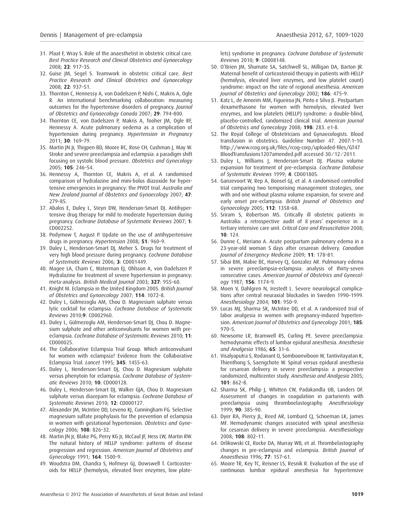- 31. Plaat F, Wray S. Role of the anaesthetist in obstetric critical care. Best Practice Research and Clinical Obstetrics and Gynaecology 2008; 22: 917–35.
- 32. Guise JM, Segel S. Teamwork in obstetric critical care. Best Practice Research and Clinical Obstetrics and Gynaecology 2008; 22: 937–51.
- 33. Thornton C, Hennessy A, von Dadelszen P, Nishi C, Makris A, Ogle R. An international benchmarking collaboration: measuring outcomes for the hypertensive disorders of pregnancy. Journal of Obstetrics and Gynaecology Canada 2007; 29: 794–800.
- 34. Thornton CE, von Dadelszen P, Makris A, Tooher JM, Ogle RF, Hennessy A. Acute pulmonary oedema as a complication of hypertension during pregnancy. Hypertension in Pregnancy 2011; 30: 169–79.
- 35. Martin JN Jr, Thigpen BD, Moore RC, Rose CH, Cushman J, May W. Stroke and severe preeclampsia and eclampsia: a paradigm shift focusing on systolic blood pressure. Obstetrics and Gynecology 2005; 105: 246–54.
- 36. Hennessy A, Thornton CE, Makris A, et al. A randomised comparison of hydralazine and mini-bolus diazoxide for hypertensive emergencies in pregnancy: the PIVOT trial. Australia and New Zealand Journal of Obstetrics and Gynaecology 2007; 47: 279–85.
- 37. Abalos E, Duley L, Steyn DW, Henderson-Smart DJ. Antihypertensive drug therapy for mild to moderate hypertension during pregnancy. Cochrane Database of Systematic Reviews 2007; 1: CD002252.
- 38. Podymow T, August P. Update on the use of antihypertensive drugs in pregnancy. Hypertension 2008; 51: 960-9.
- 39. Duley L, Henderson-Smart DJ, Meher S. Drugs for treatment of very high blood pressure during pregnancy. Cochrane Database of Systematic Reviews 2006; 3: CD001449.
- 40. Magee LA, Cham C, Waterman EJ, Ohlsson A, von Dadelszen P. Hydralazine for treatment of severe hypertension in pregnancy: meta-analysis. British Medical Journal 2003; 327: 955–60.
- 41. Knight M. Eclampsia in the United Kingdom 2005. British Journal of Obstetrics and Gynaecology 2007; 114: 1072–8.
- 42. Duley L, Gülmezoglu AM, Chou D. Magnesium sulphate versus lytic cocktail for eclampsia. Cochrane Database of Systematic Reviews 2010;9: CD002960.
- 43. Duley L, Gülmezoglu AM, Henderson-Smart DJ, Chou D. Magnesium sulphate and other anticonvulsants for women with preeclampsia. Cochrane Database of Systematic Reviews 2010; 11: CD000025.
- 44. The Collaborative Eclampsia Trial Group. Which anticonvulsant for women with eclampsia? Evidence from the Collaborative Eclampsia Trial. Lancet 1995; 345: 1455–63.
- 45. Duley L, Henderson-Smart DJ, Chou D. Magnesium sulphate versus phenytoin for eclampsia. Cochrane Database of Systematic Reviews 2010; 10: CD000128.
- 46. Duley L, Henderson-Smart DJ, Walker GJA, Chou D. Magnesium sulphate versus diazepam for eclampsia. Cochrane Database of Systematic Reviews 2010; 12: CD000127.
- 47. Alexander JM, McIntire DD, Leveno KJ, Cunningham FG. Selective magnesium sulfate prophylaxis for the prevention of eclampsia in women with gestational hypertension. Obstetrics and Gynecology 2006; 108: 826–32.
- 48. Martin JN Jr, Blake PG, Perry KG Jr, McCaul JF, Hess LW, Martin RW. The natural history of HELLP syndrome: patterns of disease progression and regression. American Journal of Obstetrics and Gynecology 1991; 164: 1500–9.
- 49. Woudstra DM, Chandra S, Hofmeyr GJ, Dowswell T. Corticosteroids for HELLP (hemolysis, elevated liver enzymes, low plate-

lets) syndrome in pregnancy. Cochrane Database of Systematic Reviews 2010; 9: CD008148.

- 50. O'Brien JM, Shumate SA, Satchwell SL, Milligan DA, Barton JR. Maternal benefit of corticosteroid therapy in patients with HELLP (hemolysis, elevated liver enzymes, and low platelet count) syndrome: impact on the rate of regional anesthesia. American Journal of Obstetrics and Gynecology 2002; 186: 475–9.
- 51. Katz L, de Amorim MM, Figueiroa JN, Pinto e Silva JL. Postpartum dexamethasone for women with hemolysis, elevated liver enzymes, and low platelets (HELLP) syndrome: a double-blind, placebo-controlled, randomized clinical trial. American Journal of Obstetrics and Gynecology 2008; 198: 283. e1-8.
- 52. The Royal College of Obstetricians and Gynaecologists. Blood transfusion in obstetrics. Guideline Number 47. 2007:1–10. http://www.rcog.org.uk/files/rcog-corp/uploaded-files/GT47 BloodTransfusions1207amended.pdf accessed 30 ⁄ 12 ⁄ 2011.
- 53. Duley L, Williams J, Henderson-Smart DJ. Plasma volume expansion for treatment of pre-eclampsia. Cochrane Database of Systematic Reviews 1999; 4: CD001805.
- 54. Ganzevoort W, Rep A, Bonsel GJ, et al. A randomised controlled trial comparing two temporising management strategies, one with and one without plasma volume expansion, for severe and early onset pre-eclampsia. British Journal of Obstetrics and Gynaecology 2005; 112: 1358–68.
- 55. Sriram S, Robertson MS. Critically ill obstetric patients in Australia: a retrospective audit of 8 years' experience in a tertiary intensive care unit. Critical Care and Resuscitation 2008; 10: 124.
- 56. Dunne C, Meriano A. Acute postpartum pulmonary edema in a 23-year-old woman 5 days after cesarean delivery. Canadian Journal of Emergency Medicine 2009; 11: 178–81.
- 57. Sibai BM, Mabie BC, Harvey CJ, Gonzalez AR. Pulmonary edema in severe preeclampsia-eclampsia: analysis of thirty-seven consecutive cases. American Journal of Obstetrics and Gynecology 1987; 156: 1174–9.
- 58. Moen V, Dahlgren N, Irestedt L. Severe neurological complications after central neuraxial blockades in Sweden 1990–1999. Anesthesiology 2004; 101: 950–9.
- 59. Lucas MJ, Sharma SK, McIntire DD, et al. A randomized trial of labor analgesia in women with pregnancy-induced hypertension. American Journal of Obstetrics and Gynecology 2001; 185: 970–5.
- 60. Newsome LR, Bramwell RS, Curling PE. Severe preeclampsia: hemodynamic effects of lumbar epidural anesthesia. Anesthesia and Analgesia 1986; 65: 31–6.
- 61. Visalyaputra S, Rodanant O, Somboonviboon W, Tantivitayatan K, Thienthong S, Saengchote W. Spinal versus epidural anesthesia for cesarean delivery in severe preeclampsia: a prospective randomized, multicenter study. Anesthesia and Analgesia 2005; 101: 862–8.
- 62. Sharma SK, Philip J, Whitten CW, Padakandla UB, Landers DF. Assessment of changes in coagulation in parturients with preeclampsia using thromboelastography. Anesthesiology 1999; 90: 385–90.
- 63. Dyer RA, Piercy JL, Reed AR, Lombard CJ, Schoeman LK, James MF. Hemodynamic changes associated with spinal anesthesia for cesarean delivery in severe preeclampsia. Anesthesiology 2008; 108: 802–11.
- 64. Orlikowski CE, Rocke DA, Murray WB, et al. Thrombelastography changes in pre-eclampsia and eclampsia. British Journal of Anaesthesia 1996; 77: 157–61.
- 65. Moore TR, Key TC, Reisner LS, Resnik R. Evaluation of the use of continuous lumbar epidural anesthesia for hypertensive